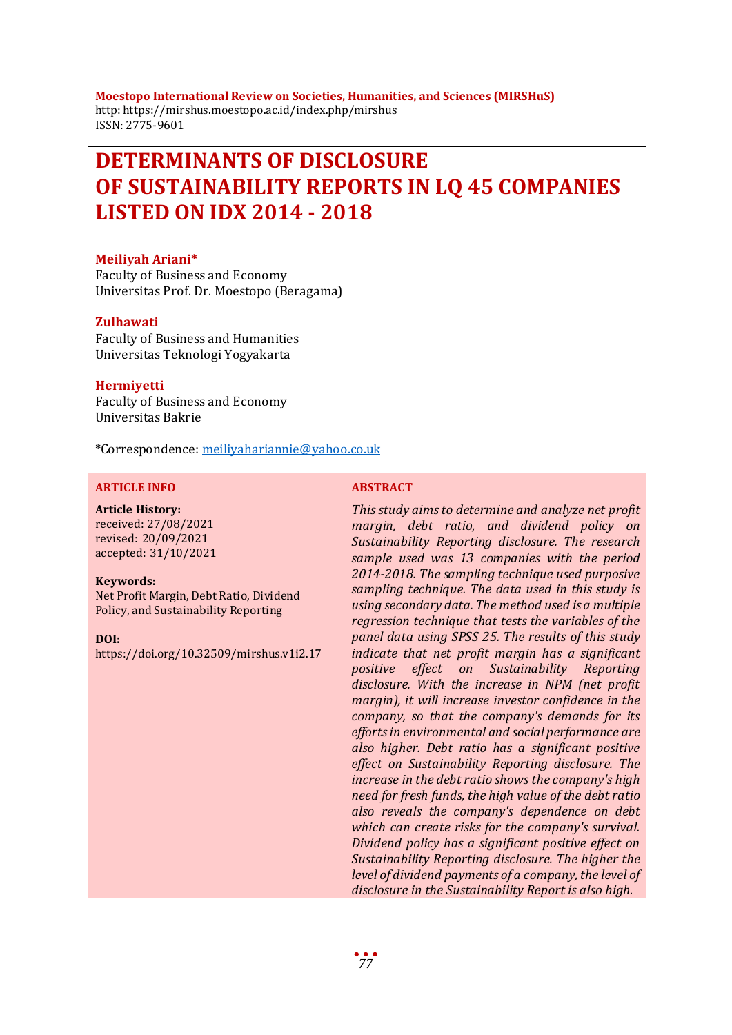**Moestopo International Review on Societies, Humanities, and Sciences (MIRSHuS)** http: https://mirshus.moestopo.ac.id/index.php/mirshus ISSN: 2775-9601

# **DETERMINANTS OF DISCLOSURE OF SUSTAINABILITY REPORTS IN LQ 45 COMPANIES LISTED ON IDX 2014 - 2018**

#### **Meiliyah Ariani\***

Faculty of Business and Economy Universitas Prof. Dr. Moestopo (Beragama)

#### **Zulhawati**

Faculty of Business and Humanities Universitas Teknologi Yogyakarta

#### **Hermiyetti**

Faculty of Business and Economy Universitas Bakrie

\*Correspondence: [meiliyahariannie@yahoo.co.uk](mailto:meiliyahariannie@yahoo.co.uk)

#### **ARTICLE INFO ABSTRACT**

#### **Article History:**

received: 27/08/2021 revised: 20/09/2021 accepted: 31/10/2021

#### **Keywords:**

Net Profit Margin, Debt Ratio, Dividend Policy, and Sustainability Reporting

**DOI:**

https://doi.org/10.32509/mirshus.v1i2.17

*This study aims to determine and analyze net profit margin, debt ratio, and dividend policy on Sustainability Reporting disclosure. The research sample used was 13 companies with the period 2014-2018. The sampling technique used purposive sampling technique. The data used in this study is using secondary data. The method used is a multiple regression technique that tests the variables of the panel data using SPSS 25. The results of this study indicate that net profit margin has a significant positive effect on Sustainability Reporting disclosure. With the increase in NPM (net profit margin), it will increase investor confidence in the company, so that the company's demands for its efforts in environmental and social performance are also higher. Debt ratio has a significant positive effect on Sustainability Reporting disclosure. The increase in the debt ratio shows the company's high need for fresh funds, the high value of the debt ratio also reveals the company's dependence on debt which can create risks for the company's survival. Dividend policy has a significant positive effect on Sustainability Reporting disclosure. The higher the level of dividend payments of a company, the level of disclosure in the Sustainability Report is also high.*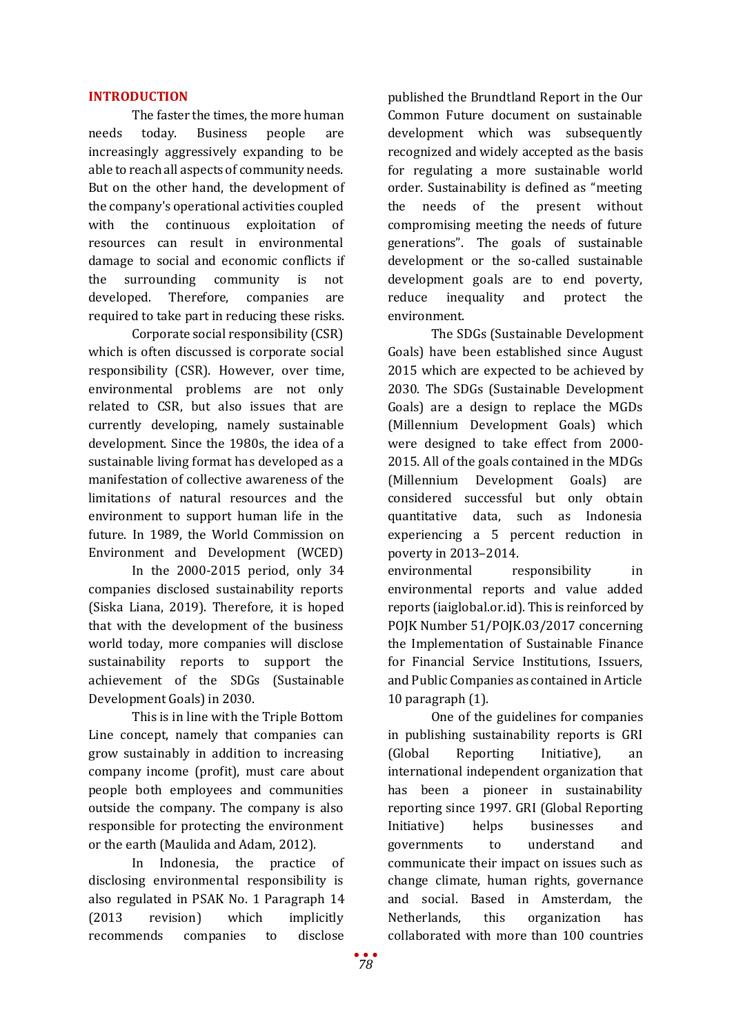## **INTRODUCTION**

The faster the times, the more human needs today. Business people are increasingly aggressively expanding to be able to reach all aspects of community needs. But on the other hand, the development of the company's operational activities coupled with the continuous exploitation of resources can result in environmental damage to social and economic conflicts if the surrounding community is not developed. Therefore, companies are required to take part in reducing these risks.

Corporate social responsibility (CSR) which is often discussed is corporate social responsibility (CSR). However, over time, environmental problems are not only related to CSR, but also issues that are currently developing, namely sustainable development. Since the 1980s, the idea of a sustainable living format has developed as a manifestation of collective awareness of the limitations of natural resources and the environment to support human life in the future. In 1989, the World Commission on Environment and Development (WCED)

In the 2000-2015 period, only 34 companies disclosed sustainability reports (Siska Liana, 2019). Therefore, it is hoped that with the development of the business world today, more companies will disclose sustainability reports to support the achievement of the SDGs (Sustainable Development Goals) in 2030.

This is in line with the Triple Bottom Line concept, namely that companies can grow sustainably in addition to increasing company income (profit), must care about people both employees and communities outside the company. The company is also responsible for protecting the environment or the earth (Maulida and Adam, 2012).

In Indonesia, the practice of disclosing environmental responsibility is also regulated in PSAK No. 1 Paragraph 14 (2013 revision) which implicitly recommends companies to disclose

published the Brundtland Report in the Our Common Future document on sustainable development which was subsequently recognized and widely accepted as the basis for regulating a more sustainable world order. Sustainability is defined as "meeting the needs of the present without compromising meeting the needs of future generations". The goals of sustainable development or the so-called sustainable development goals are to end poverty, reduce inequality and protect the environment.

The SDGs (Sustainable Development Goals) have been established since August 2015 which are expected to be achieved by 2030. The SDGs (Sustainable Development Goals) are a design to replace the MGDs (Millennium Development Goals) which were designed to take effect from 2000- 2015. All of the goals contained in the MDGs (Millennium Development Goals) are considered successful but only obtain quantitative data, such as Indonesia experiencing a 5 percent reduction in poverty in 2013–2014.

environmental responsibility in environmental reports and value added reports (iaiglobal.or.id). This is reinforced by POJK Number 51/POJK.03/2017 concerning the Implementation of Sustainable Finance for Financial Service Institutions, Issuers, and Public Companies as contained in Article 10 paragraph (1).

One of the guidelines for companies in publishing sustainability reports is GRI (Global Reporting Initiative), an international independent organization that has been a pioneer in sustainability reporting since 1997. GRI (Global Reporting<br>Initiative) helps businesses and Initiative) helps businesses and governments to understand and communicate their impact on issues such as change climate, human rights, governance and social. Based in Amsterdam, the Netherlands, this organization has collaborated with more than 100 countries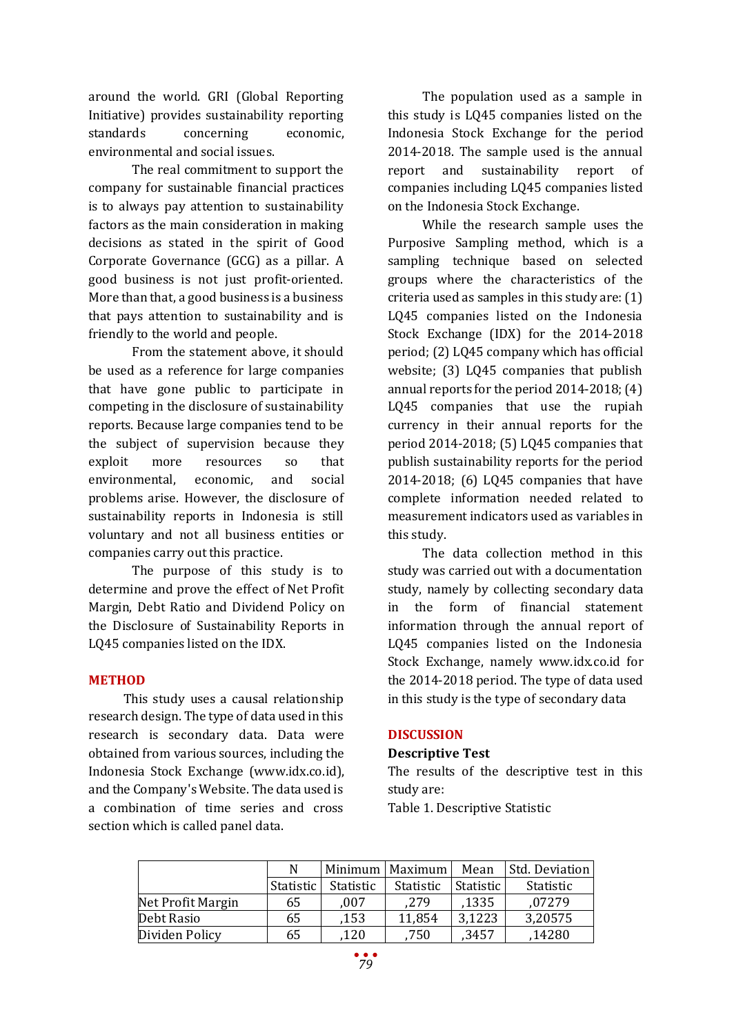around the world. GRI (Global Reporting Initiative) provides sustainability reporting standards concerning economic, environmental and social issues.

The real commitment to support the company for sustainable financial practices is to always pay attention to sustainability factors as the main consideration in making decisions as stated in the spirit of Good Corporate Governance (GCG) as a pillar. A good business is not just profit-oriented. More than that, a good business is a business that pays attention to sustainability and is friendly to the world and people.

From the statement above, it should be used as a reference for large companies that have gone public to participate in competing in the disclosure of sustainability reports. Because large companies tend to be the subject of supervision because they exploit more resources so that environmental, economic, and social problems arise. However, the disclosure of sustainability reports in Indonesia is still voluntary and not all business entities or companies carry out this practice.

The purpose of this study is to determine and prove the effect of Net Profit Margin, Debt Ratio and Dividend Policy on the Disclosure of Sustainability Reports in LQ45 companies listed on the IDX.

#### **METHOD**

This study uses a causal relationship research design. The type of data used in this research is secondary data. Data were obtained from various sources, including the Indonesia Stock Exchange (www.idx.co.id), and the Company's Website. The data used is a combination of time series and cross section which is called panel data.

The population used as a sample in this study is LQ45 companies listed on the Indonesia Stock Exchange for the period 2014-2018. The sample used is the annual report and sustainability report of companies including LQ45 companies listed on the Indonesia Stock Exchange.

While the research sample uses the Purposive Sampling method, which is a sampling technique based on selected groups where the characteristics of the criteria used as samples in this study are: (1) LQ45 companies listed on the Indonesia Stock Exchange (IDX) for the 2014-2018 period; (2) LQ45 company which has official website; (3) LQ45 companies that publish annual reports for the period 2014-2018; (4) LQ45 companies that use the rupiah currency in their annual reports for the period 2014-2018; (5) LQ45 companies that publish sustainability reports for the period 2014-2018; (6) LQ45 companies that have complete information needed related to measurement indicators used as variables in this study.

The data collection method in this study was carried out with a documentation study, namely by collecting secondary data in the form of financial statement information through the annual report of LQ45 companies listed on the Indonesia Stock Exchange, namely www.idx.co.id for the 2014-2018 period. The type of data used in this study is the type of secondary data

#### **DISCUSSION**

#### **Descriptive Test**

The results of the descriptive test in this study are:

Table 1. Descriptive Statistic

|                   |           |                  | Minimum   Maximum | Mean      | Std. Deviation |
|-------------------|-----------|------------------|-------------------|-----------|----------------|
|                   | Statistic | <b>Statistic</b> | Statistic         | Statistic | Statistic      |
| Net Profit Margin | 65        | .007             | .279              | ,1335     | .07279         |
| Debt Rasio        | 65        | ,153             | 11,854            | 3,1223    | 3,20575        |
| Dividen Policy    | 65        | 120              | 750               | ,3457     | 14280          |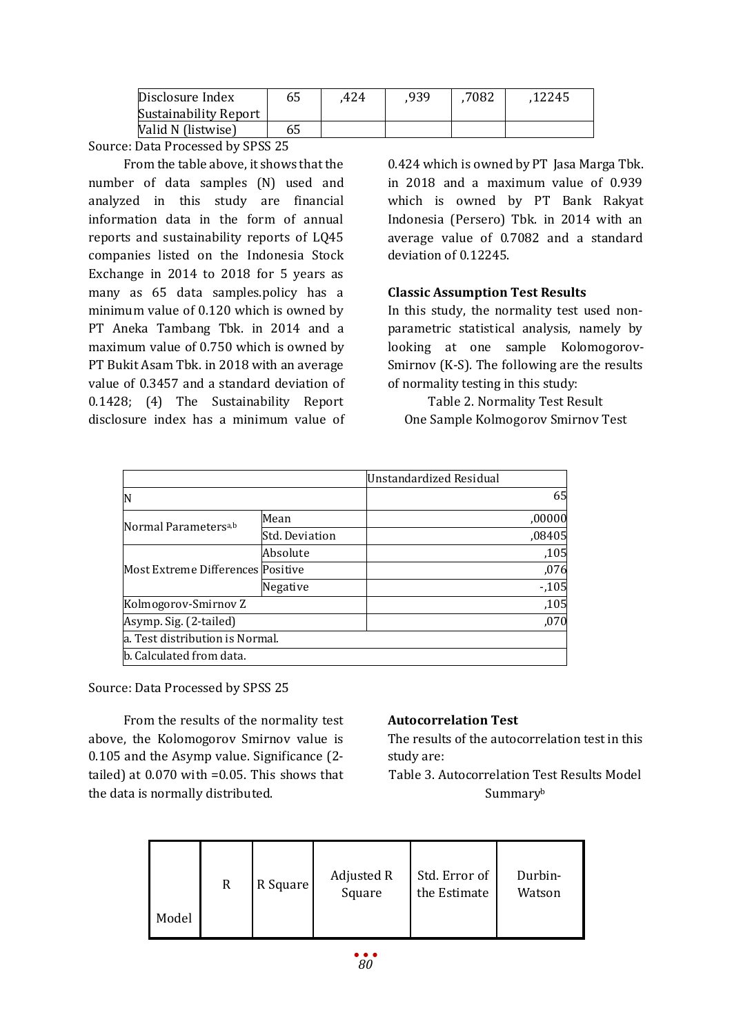| Disclosure Index             | 65 | 424 | 939 | 7082 | 12245. |
|------------------------------|----|-----|-----|------|--------|
| <b>Sustainability Report</b> |    |     |     |      |        |
| Valid N (listwise)           | 65 |     |     |      |        |

From the table above, it shows that the number of data samples (N) used and analyzed in this study are financial information data in the form of annual reports and sustainability reports of LQ45 companies listed on the Indonesia Stock Exchange in 2014 to 2018 for 5 years as many as 65 data samples.policy has a minimum value of 0.120 which is owned by PT Aneka Tambang Tbk. in 2014 and a maximum value of 0.750 which is owned by PT Bukit Asam Tbk. in 2018 with an average value of 0.3457 and a standard deviation of 0.1428; (4) The Sustainability Report disclosure index has a minimum value of 0.424 which is owned by PT Jasa Marga Tbk. in 2018 and a maximum value of 0.939 which is owned by PT Bank Rakyat Indonesia (Persero) Tbk. in 2014 with an average value of 0.7082 and a standard deviation of 0.12245.

# **Classic Assumption Test Results**

In this study, the normality test used nonparametric statistical analysis, namely by looking at one sample Kolomogorov-Smirnov (K-S). The following are the results of normality testing in this study:

Table 2. Normality Test Result One Sample Kolmogorov Smirnov Test

|                                   |                | Unstandardized Residual |        |
|-----------------------------------|----------------|-------------------------|--------|
| IN                                |                |                         | 65     |
| Normal Parameters <sup>a,b</sup>  | Mean           |                         | ,00000 |
|                                   | Std. Deviation |                         | ,08405 |
|                                   | Absolute       |                         | ,105   |
| Most Extreme Differences Positive |                |                         | ,076   |
|                                   | Negative       |                         | $-105$ |
| Kolmogorov-Smirnov Z              |                |                         | ,105   |
| Asymp. Sig. (2-tailed)            |                |                         | ,070   |
| a. Test distribution is Normal.   |                |                         |        |
| b. Calculated from data.          |                |                         |        |

Source: Data Processed by SPSS 25

From the results of the normality test above, the Kolomogorov Smirnov value is 0.105 and the Asymp value. Significance (2 tailed) at 0.070 with =0.05. This shows that the data is normally distributed.

# **Autocorrelation Test**

The results of the autocorrelation test in this study are:

Table 3. Autocorrelation Test Results Model Summaryb

|       | R | R Square | Adjusted R<br>Square | Std. Error of<br>the Estimate | Durbin-<br>Watson |
|-------|---|----------|----------------------|-------------------------------|-------------------|
| Model |   |          |                      |                               |                   |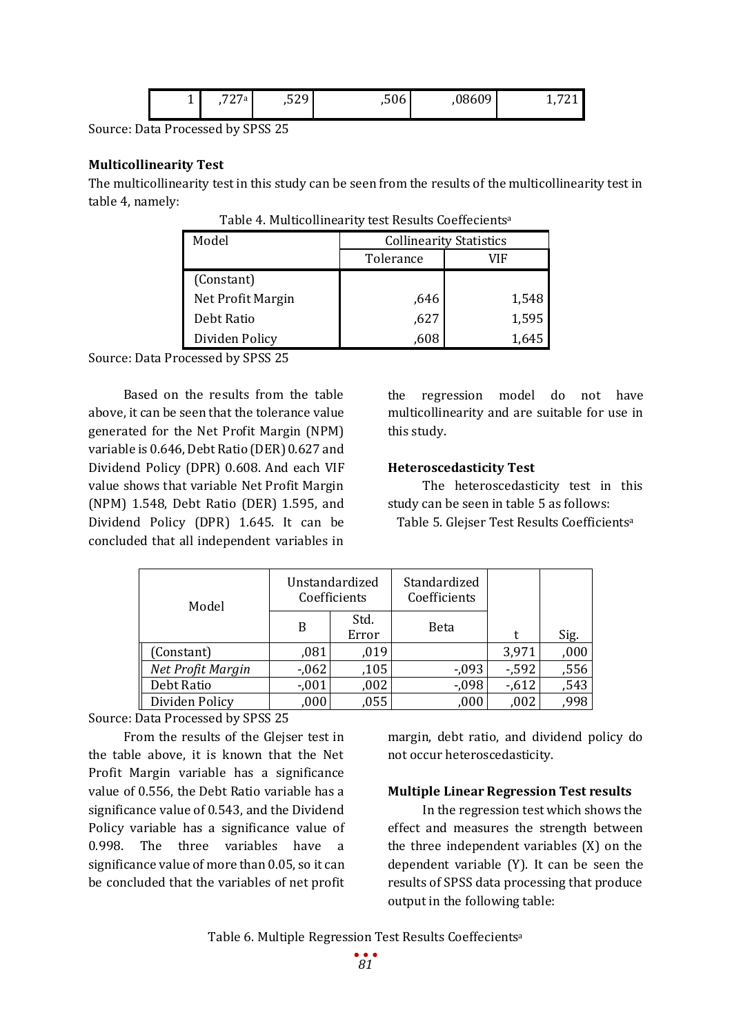|  | <b>.</b> | 727a | $\mathsf{max}$<br>,529 | ,506 | 08609 | --<br>∸ |
|--|----------|------|------------------------|------|-------|---------|
|--|----------|------|------------------------|------|-------|---------|

### **Multicollinearity Test**

The multicollinearity test in this study can be seen from the results of the multicollinearity test in table 4, namely:

| Model             | <b>Collinearity Statistics</b> |       |  |
|-------------------|--------------------------------|-------|--|
|                   | Tolerance                      | VIF   |  |
| (Constant)        |                                |       |  |
| Net Profit Margin | ,646                           | 1,548 |  |
| Debt Ratio        | ,627                           | 1,595 |  |
| Dividen Policy    | 608                            | 1.645 |  |

Table 4. Multicollinearity test Results Coeffecientsa

Source: Data Processed by SPSS 25

Based on the results from the table above, it can be seen that the tolerance value generated for the Net Profit Margin (NPM) variable is 0.646, Debt Ratio (DER) 0.627 and Dividend Policy (DPR) 0.608. And each VIF value shows that variable Net Profit Margin (NPM) 1.548, Debt Ratio (DER) 1.595, and Dividend Policy (DPR) 1.645. It can be concluded that all independent variables in

the regression model do not have multicollinearity and are suitable for use in this study.

# **Heteroscedasticity Test**

The heteroscedasticity test in this study can be seen in table 5 as follows: Table 5. Glejser Test Results Coefficientsa

| Model             | Unstandardized<br>Coefficients |               | Standardized<br>Coefficients |          |                     |
|-------------------|--------------------------------|---------------|------------------------------|----------|---------------------|
|                   | B                              | Std.<br>Error | <b>Beta</b>                  | t        | Sig.                |
| (Constant)        | ,081                           | ,019          |                              | 3,971    | ,000                |
| Net Profit Margin | $-0.062$                       | ,105          | $-0.093$                     | $-0.592$ | $\frac{,556}{,543}$ |
| Debt Ratio        | $-.001$                        | ,002          | $-0.098$                     | $-0.612$ |                     |
| Dividen Policy    | ,000                           | ,055          | ,000                         | ,002     | ,998                |

Source: Data Processed by SPSS 25

From the results of the Glejser test in the table above, it is known that the Net Profit Margin variable has a significance value of 0.556, the Debt Ratio variable has a significance value of 0.543, and the Dividend Policy variable has a significance value of 0.998. The three variables have a significance value of more than 0.05, so it can be concluded that the variables of net profit margin, debt ratio, and dividend policy do not occur heteroscedasticity.

# **Multiple Linear Regression Test results**

In the regression test which shows the effect and measures the strength between the three independent variables (X) on the dependent variable (Y). It can be seen the results of SPSS data processing that produce output in the following table:

Table 6. Multiple Regression Test Results Coeffecientsa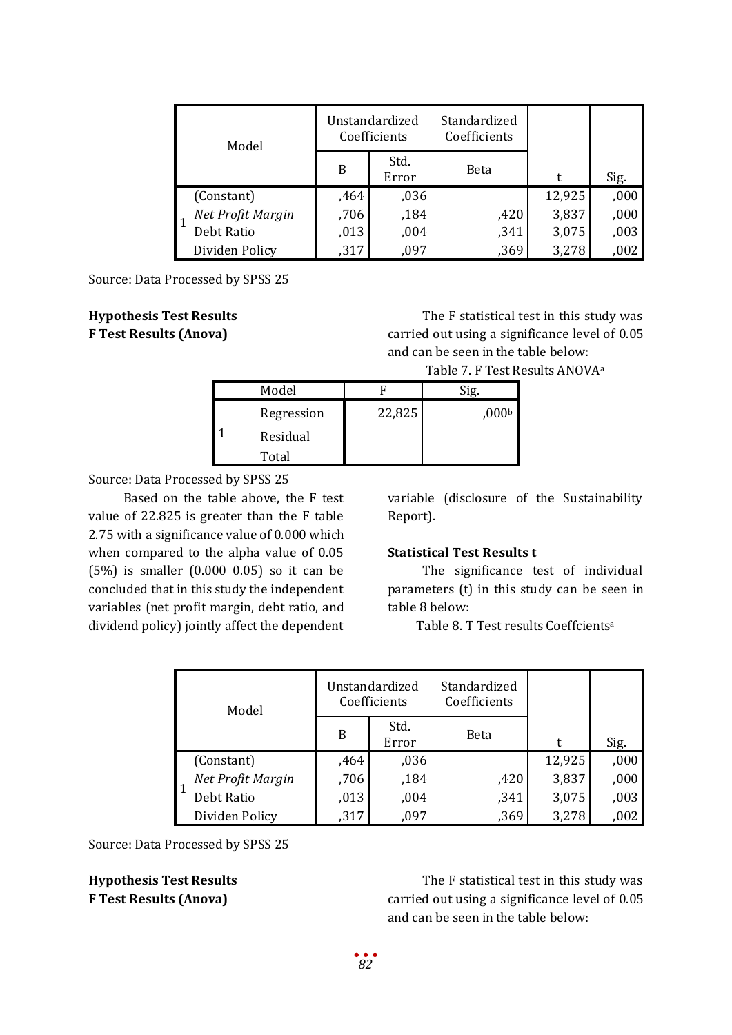| Model |                   | Unstandardized<br>Coefficients |               | Standardized<br>Coefficients |        |      |
|-------|-------------------|--------------------------------|---------------|------------------------------|--------|------|
|       |                   | B                              | Std.<br>Error | Beta                         | t      | Sig. |
|       | (Constant)        | ,464                           | ,036          |                              | 12,925 | ,000 |
|       | Net Profit Margin | ,706                           | ,184          | ,420                         | 3,837  | ,000 |
|       | Debt Ratio        | ,013                           | ,004          | ,341                         | 3,075  | ,003 |
|       | Dividen Policy    | ,317                           | .097          | ,369                         | 3,278  | ,002 |

# **Hypothesis Test Results F Test Results (Anova)**

The F statistical test in this study was carried out using a significance level of 0.05 and can be seen in the table below:

Table 7. F Test Results ANOVAa

| Model      |        |       |
|------------|--------|-------|
| Regression | 22,825 | ,000b |
| Residual   |        |       |
| Total      |        |       |

Source: Data Processed by SPSS 25

Based on the table above, the F test value of 22.825 is greater than the F table 2.75 with a significance value of 0.000 which when compared to the alpha value of 0.05 (5%) is smaller (0.000 0.05) so it can be concluded that in this study the independent variables (net profit margin, debt ratio, and dividend policy) jointly affect the dependent variable (disclosure of the Sustainability Report).

#### **Statistical Test Results t**

The significance test of individual parameters (t) in this study can be seen in table 8 below:

Table 8. T Test results Coeffcientsa

| Model |                   | Unstandardized<br>Coefficients |               | Standardized<br>Coefficients |        |      |
|-------|-------------------|--------------------------------|---------------|------------------------------|--------|------|
|       |                   | B                              | Std.<br>Error | Beta                         | t      | Sig. |
|       | (Constant)        | ,464                           | ,036          |                              | 12,925 | ,000 |
|       | Net Profit Margin | ,706                           | ,184          | ,420                         | 3,837  | ,000 |
|       | Debt Ratio        | ,013                           | ,004          | ,341                         | 3,075  | ,003 |
|       | Dividen Policy    | ,317                           | ,097          | ,369                         | 3,278  | ,002 |

Source: Data Processed by SPSS 25

**Hypothesis Test Results F Test Results (Anova)**

The F statistical test in this study was carried out using a significance level of 0.05 and can be seen in the table below: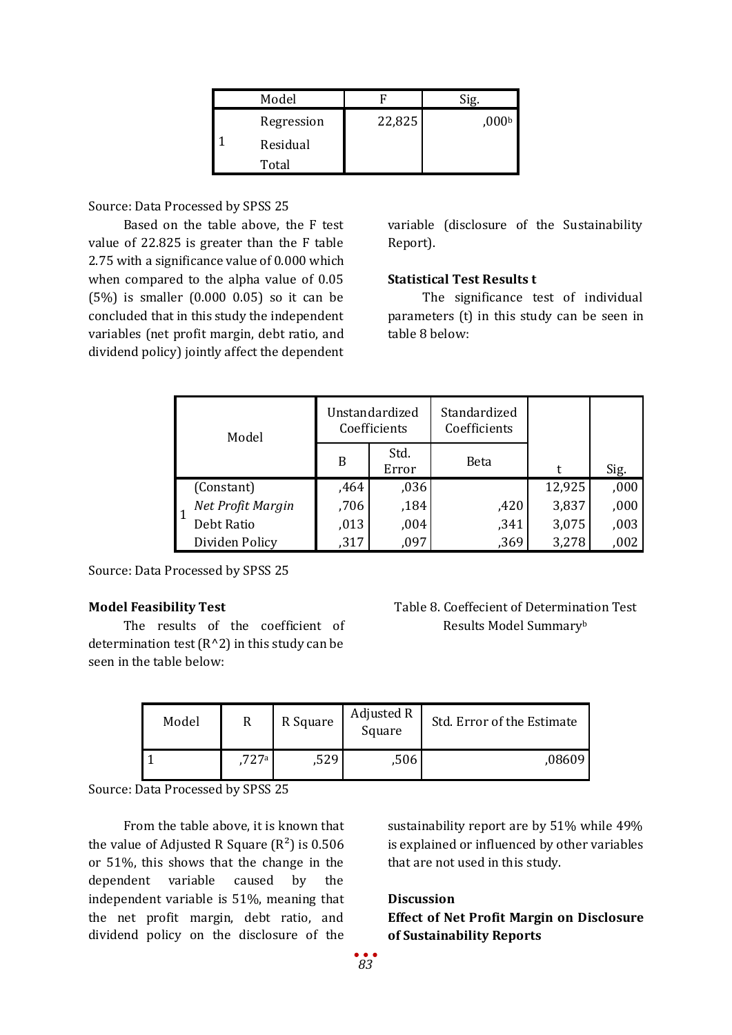| Model      |        |                   |
|------------|--------|-------------------|
| Regression | 22,825 | ,000 <sub>b</sub> |
| Residual   |        |                   |
| Total      |        |                   |

Based on the table above, the F test value of 22.825 is greater than the F table 2.75 with a significance value of 0.000 which when compared to the alpha value of 0.05 (5%) is smaller (0.000 0.05) so it can be concluded that in this study the independent variables (net profit margin, debt ratio, and dividend policy) jointly affect the dependent

variable (disclosure of the Sustainability Report).

# **Statistical Test Results t**

The significance test of individual parameters (t) in this study can be seen in table 8 below:

| Model |                   | Unstandardized<br>Coefficients |               | Standardized<br>Coefficients |        |      |
|-------|-------------------|--------------------------------|---------------|------------------------------|--------|------|
|       |                   | B                              | Std.<br>Error | Beta                         |        | Sig. |
|       | (Constant)        | ,464                           | ,036          |                              | 12,925 | ,000 |
|       | Net Profit Margin | ,706                           | ,184          | ,420                         | 3,837  | ,000 |
|       | Debt Ratio        | ,013                           | ,004          | ,341                         | 3,075  | ,003 |
|       | Dividen Policy    | ,317                           | ,097          | ,369                         | 3,278  | ,002 |

Source: Data Processed by SPSS 25

# **Model Feasibility Test**

The results of the coefficient of determination test  $(R^2)$  in this study can be seen in the table below:

Table 8. Coeffecient of Determination Test Results Model Summaryb

| Model |      | R Square | Adjusted R<br>Square | Std. Error of the Estimate |
|-------|------|----------|----------------------|----------------------------|
|       | 727a | ,529     | ,506                 | 08609.                     |

Source: Data Processed by SPSS 25

From the table above, it is known that the value of Adjusted R Square  $(R^2)$  is 0.506 or 51%, this shows that the change in the dependent variable caused by the independent variable is 51%, meaning that the net profit margin, debt ratio, and dividend policy on the disclosure of the

sustainability report are by 51% while 49% is explained or influenced by other variables that are not used in this study.

# **Discussion**

**Effect of Net Profit Margin on Disclosure of Sustainability Reports**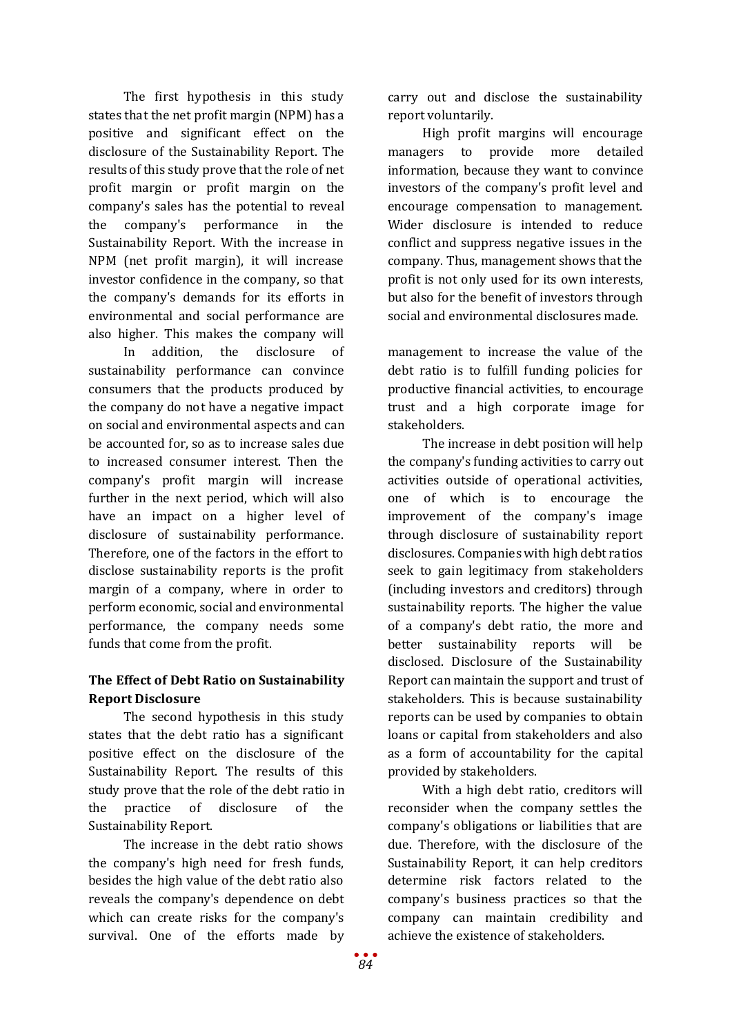The first hypothesis in this study states that the net profit margin (NPM) has a positive and significant effect on the disclosure of the Sustainability Report. The results of this study prove that the role of net profit margin or profit margin on the company's sales has the potential to reveal the company's performance in the Sustainability Report. With the increase in NPM (net profit margin), it will increase investor confidence in the company, so that the company's demands for its efforts in environmental and social performance are also higher. This makes the company will

In addition, the disclosure of sustainability performance can convince consumers that the products produced by the company do not have a negative impact on social and environmental aspects and can be accounted for, so as to increase sales due to increased consumer interest. Then the company's profit margin will increase further in the next period, which will also have an impact on a higher level of disclosure of sustainability performance. Therefore, one of the factors in the effort to disclose sustainability reports is the profit margin of a company, where in order to perform economic, social and environmental performance, the company needs some funds that come from the profit.

# **The Effect of Debt Ratio on Sustainability Report Disclosure**

The second hypothesis in this study states that the debt ratio has a significant positive effect on the disclosure of the Sustainability Report. The results of this study prove that the role of the debt ratio in the practice of disclosure of the Sustainability Report.

The increase in the debt ratio shows the company's high need for fresh funds, besides the high value of the debt ratio also reveals the company's dependence on debt which can create risks for the company's survival. One of the efforts made by

carry out and disclose the sustainability report voluntarily.

High profit margins will encourage managers to provide more detailed information, because they want to convince investors of the company's profit level and encourage compensation to management. Wider disclosure is intended to reduce conflict and suppress negative issues in the company. Thus, management shows that the profit is not only used for its own interests, but also for the benefit of investors through social and environmental disclosures made.

management to increase the value of the debt ratio is to fulfill funding policies for productive financial activities, to encourage trust and a high corporate image for stakeholders.

The increase in debt position will help the company's funding activities to carry out activities outside of operational activities, one of which is to encourage the improvement of the company's image through disclosure of sustainability report disclosures. Companies with high debt ratios seek to gain legitimacy from stakeholders (including investors and creditors) through sustainability reports. The higher the value of a company's debt ratio, the more and better sustainability reports will be disclosed. Disclosure of the Sustainability Report can maintain the support and trust of stakeholders. This is because sustainability reports can be used by companies to obtain loans or capital from stakeholders and also as a form of accountability for the capital provided by stakeholders.

With a high debt ratio, creditors will reconsider when the company settles the company's obligations or liabilities that are due. Therefore, with the disclosure of the Sustainability Report, it can help creditors determine risk factors related to the company's business practices so that the company can maintain credibility and achieve the existence of stakeholders.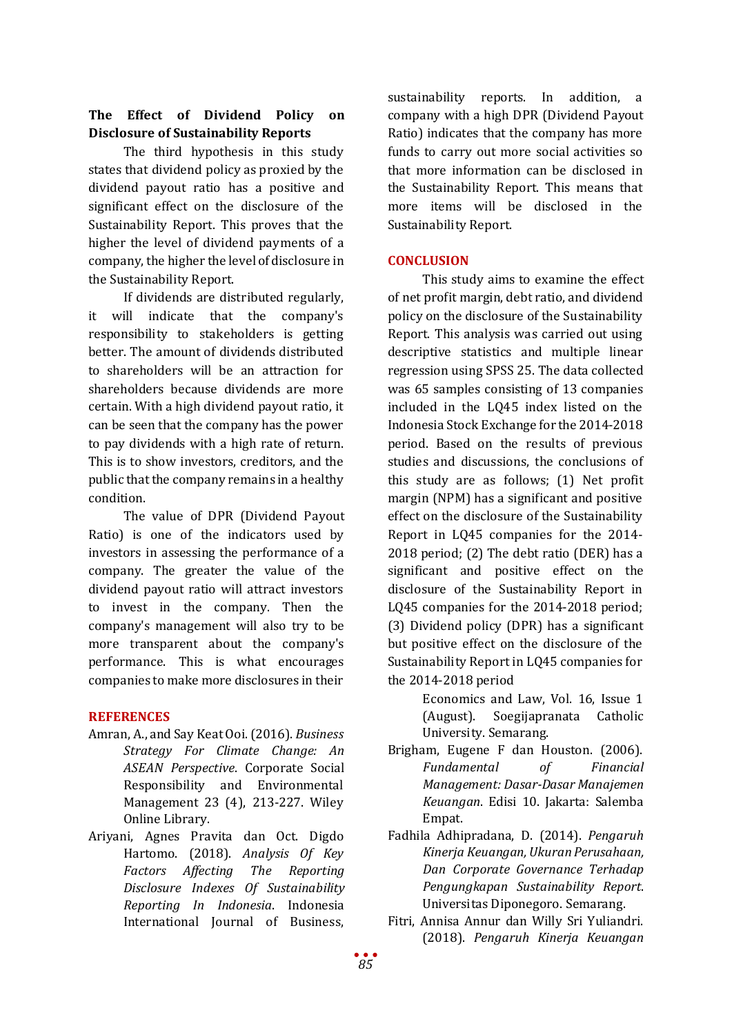# **The Effect of Dividend Policy on Disclosure of Sustainability Reports**

The third hypothesis in this study states that dividend policy as proxied by the dividend payout ratio has a positive and significant effect on the disclosure of the Sustainability Report. This proves that the higher the level of dividend payments of a company, the higher the level of disclosure in the Sustainability Report.

If dividends are distributed regularly, it will indicate that the company's responsibility to stakeholders is getting better. The amount of dividends distributed to shareholders will be an attraction for shareholders because dividends are more certain. With a high dividend payout ratio, it can be seen that the company has the power to pay dividends with a high rate of return. This is to show investors, creditors, and the public that the company remains in a healthy condition.

The value of DPR (Dividend Payout Ratio) is one of the indicators used by investors in assessing the performance of a company. The greater the value of the dividend payout ratio will attract investors to invest in the company. Then the company's management will also try to be more transparent about the company's performance. This is what encourages companies to make more disclosures in their

# **REFERENCES**

- Amran, A., and Say Keat Ooi. (2016). *Business Strategy For Climate Change: An ASEAN Perspective*. Corporate Social Responsibility and Environmental Management 23 (4), 213-227. Wiley Online Library.
- Ariyani, Agnes Pravita dan Oct. Digdo Hartomo. (2018). *Analysis Of Key Factors Affecting The Reporting Disclosure Indexes Of Sustainability Reporting In Indonesia*. Indonesia International Journal of Business,

sustainability reports. In addition, a company with a high DPR (Dividend Payout Ratio) indicates that the company has more funds to carry out more social activities so that more information can be disclosed in the Sustainability Report. This means that more items will be disclosed in the Sustainability Report.

# **CONCLUSION**

This study aims to examine the effect of net profit margin, debt ratio, and dividend policy on the disclosure of the Sustainability Report. This analysis was carried out using descriptive statistics and multiple linear regression using SPSS 25. The data collected was 65 samples consisting of 13 companies included in the LQ45 index listed on the Indonesia Stock Exchange for the 2014-2018 period. Based on the results of previous studies and discussions, the conclusions of this study are as follows; (1) Net profit margin (NPM) has a significant and positive effect on the disclosure of the Sustainability Report in LQ45 companies for the 2014- 2018 period; (2) The debt ratio (DER) has a significant and positive effect on the disclosure of the Sustainability Report in LQ45 companies for the 2014-2018 period; (3) Dividend policy (DPR) has a significant but positive effect on the disclosure of the Sustainability Report in LQ45 companies for the 2014-2018 period

> Economics and Law, Vol. 16, Issue 1 (August). Soegijapranata Catholic University. Semarang.

- Brigham, Eugene F dan Houston. (2006). *Fundamental of Financial Management: Dasar-Dasar Manajemen Keuangan*. Edisi 10. Jakarta: Salemba Empat.
- Fadhila Adhipradana, D. (2014). *Pengaruh Kinerja Keuangan, Ukuran Perusahaan, Dan Corporate Governance Terhadap Pengungkapan Sustainability Report*. Universitas Diponegoro. Semarang.
- Fitri, Annisa Annur dan Willy Sri Yuliandri. (2018). *Pengaruh Kinerja Keuangan*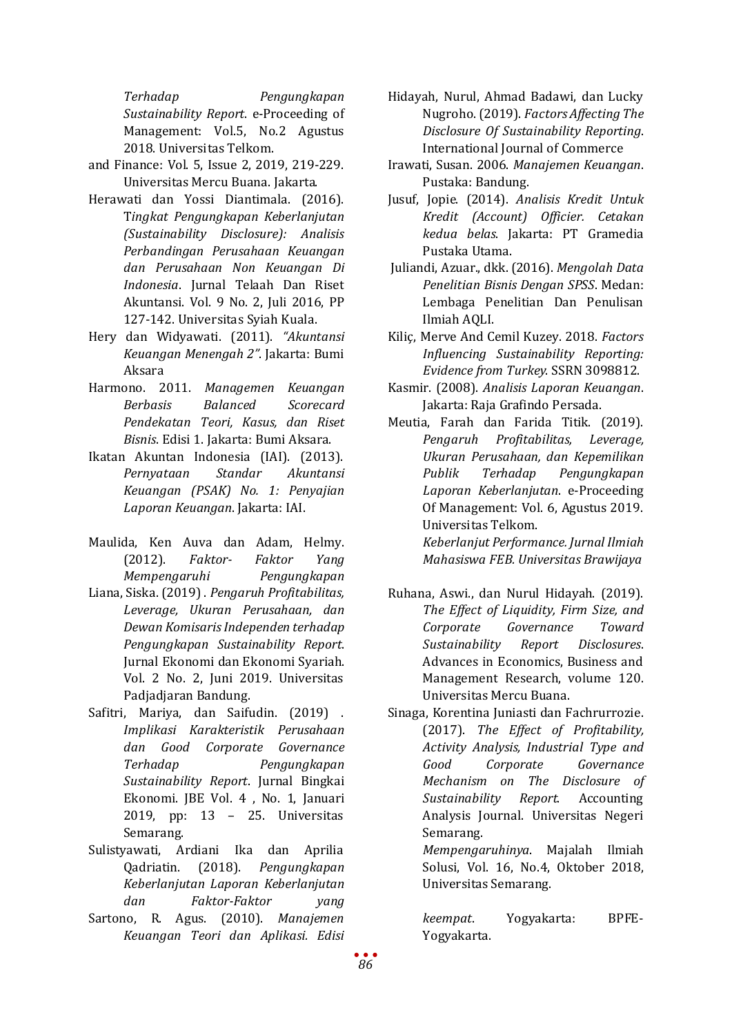*Terhadap Pengungkapan Sustainability Report*. e-Proceeding of Management: Vol.5, No.2 Agustus 2018. Universitas Telkom.

- and Finance: Vol. 5, Issue 2, 2019, 219-229. Universitas Mercu Buana. Jakarta.
- Herawati dan Yossi Diantimala. (2016). T*ingkat Pengungkapan Keberlanjutan (Sustainability Disclosure): Analisis Perbandingan Perusahaan Keuangan dan Perusahaan Non Keuangan Di Indonesia*. Jurnal Telaah Dan Riset Akuntansi. Vol. 9 No. 2, Juli 2016, PP 127-142. Universitas Syiah Kuala.
- Hery dan Widyawati. (2011). *"Akuntansi Keuangan Menengah 2"*. Jakarta: Bumi Aksara
- Harmono. 2011. *Managemen Keuangan Berbasis Balanced Scorecard Pendekatan Teori, Kasus, dan Riset Bisnis*. Edisi 1. Jakarta: Bumi Aksara.
- Ikatan Akuntan Indonesia (IAI). (2013). *Pernyataan Keuangan (PSAK) No. 1: Penyajian Laporan Keuangan*. Jakarta: IAI.
- Maulida, Ken Auva dan Adam, Helmy. (2012). *Faktor- Faktor Yang Mempengaruhi*
- Liana, Siska. (2019) . *Pengaruh Profitabilitas, Leverage, Ukuran Perusahaan, dan Dewan Komisaris Independen terhadap Pengungkapan Sustainability Report*. Jurnal Ekonomi dan Ekonomi Syariah. Vol. 2 No. 2, Juni 2019. Universitas Padjadjaran Bandung.
- Safitri, Mariya, dan Saifudin. (2019) . *Implikasi Karakteristik Perusahaan dan Good Corporate Governance Terhadap Pengungkapan Sustainability Report*. Jurnal Bingkai Ekonomi. JBE Vol. 4 , No. 1, Januari 2019, pp: 13 – 25. Universitas Semarang.
- Sulistyawati, Ardiani Ika dan Aprilia<br>Qadriatin. (2018). Pengungkapan Qadriatin. (2018). *Pengungkapan Keberlanjutan Laporan Keberlanjutan dan Faktor-Faktor yang*
- Sartono, R. Agus. (2010). *Manajemen Keuangan Teori dan Aplikasi. Edisi*
- Hidayah, Nurul, Ahmad Badawi, dan Lucky Nugroho. (2019). *Factors Affecting The Disclosure Of Sustainability Reporting*. International Journal of Commerce
- Irawati, Susan. 2006. *Manajemen Keuangan*. Pustaka: Bandung.
- Jusuf, Jopie. (2014). *Analisis Kredit Untuk Kredit (Account) Officier. Cetakan kedua belas*. Jakarta: PT Gramedia Pustaka Utama.
- Juliandi, Azuar., dkk. (2016). *Mengolah Data Penelitian Bisnis Dengan SPSS*. Medan: Lembaga Penelitian Dan Penulisan Ilmiah AQLI.
- Kiliç, Merve And Cemil Kuzey. 2018. *Factors Influencing Sustainability Reporting: Evidence from Turkey*. SSRN 3098812.
- Kasmir. (2008). *Analisis Laporan Keuangan*. Jakarta: Raja Grafindo Persada.
- Meutia, Farah dan Farida Titik. (2019). *Pengaruh Profitabilitas, Leverage, Ukuran Perusahaan, dan Kepemilikan Publik Terhadap Pengungkapan Laporan Keberlanjutan*. e-Proceeding Of Management: Vol. 6, Agustus 2019. Universitas Telkom. *Keberlanjut Performance. Jurnal Ilmiah*

*Mahasiswa FEB. Universitas Brawijaya*

- Ruhana, Aswi., dan Nurul Hidayah. (2019). *The Effect of Liquidity, Firm Size, and Corporate Governance Toward Sustainability Report Disclosures*. Advances in Economics, Business and Management Research, volume 120. Universitas Mercu Buana.
- Sinaga, Korentina Juniasti dan Fachrurrozie. (2017). *The Effect of Profitability, Activity Analysis, Industrial Type and Good Corporate Governance Mechanism on The Disclosure of Sustainability Report*. Accounting Analysis Journal. Universitas Negeri Semarang.

*Mempengaruhinya*. Majalah Ilmiah Solusi, Vol. 16, No.4, Oktober 2018, Universitas Semarang.

*keempat*. Yogyakarta: BPFE-Yogyakarta.